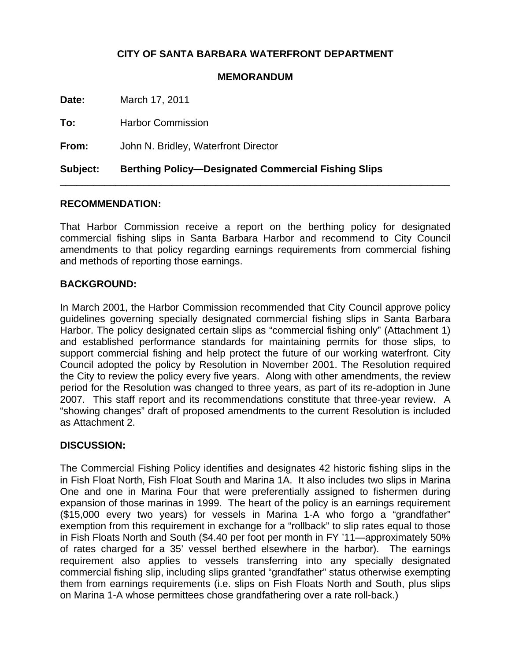# **CITY OF SANTA BARBARA WATERFRONT DEPARTMENT**

## **MEMORANDUM**

**Date:** March 17, 2011

**To:** Harbor Commission

**From:** John N. Bridley, Waterfront Director

**Subject: Berthing Policy—Designated Commercial Fishing Slips** 

## **RECOMMENDATION:**

That Harbor Commission receive a report on the berthing policy for designated commercial fishing slips in Santa Barbara Harbor and recommend to City Council amendments to that policy regarding earnings requirements from commercial fishing and methods of reporting those earnings.

\_\_\_\_\_\_\_\_\_\_\_\_\_\_\_\_\_\_\_\_\_\_\_\_\_\_\_\_\_\_\_\_\_\_\_\_\_\_\_\_\_\_\_\_\_\_\_\_\_\_\_\_\_\_\_\_\_\_\_\_\_\_\_\_\_\_\_\_\_\_

## **BACKGROUND:**

In March 2001, the Harbor Commission recommended that City Council approve policy guidelines governing specially designated commercial fishing slips in Santa Barbara Harbor. The policy designated certain slips as "commercial fishing only" (Attachment 1) and established performance standards for maintaining permits for those slips, to support commercial fishing and help protect the future of our working waterfront. City Council adopted the policy by Resolution in November 2001. The Resolution required the City to review the policy every five years. Along with other amendments, the review period for the Resolution was changed to three years, as part of its re-adoption in June 2007. This staff report and its recommendations constitute that three-year review. A "showing changes" draft of proposed amendments to the current Resolution is included as Attachment 2.

## **DISCUSSION:**

The Commercial Fishing Policy identifies and designates 42 historic fishing slips in the in Fish Float North, Fish Float South and Marina 1A. It also includes two slips in Marina One and one in Marina Four that were preferentially assigned to fishermen during expansion of those marinas in 1999. The heart of the policy is an earnings requirement (\$15,000 every two years) for vessels in Marina 1-A who forgo a "grandfather" exemption from this requirement in exchange for a "rollback" to slip rates equal to those in Fish Floats North and South (\$4.40 per foot per month in FY '11—approximately 50% of rates charged for a 35' vessel berthed elsewhere in the harbor). The earnings requirement also applies to vessels transferring into any specially designated commercial fishing slip, including slips granted "grandfather" status otherwise exempting them from earnings requirements (i.e. slips on Fish Floats North and South, plus slips on Marina 1-A whose permittees chose grandfathering over a rate roll-back.)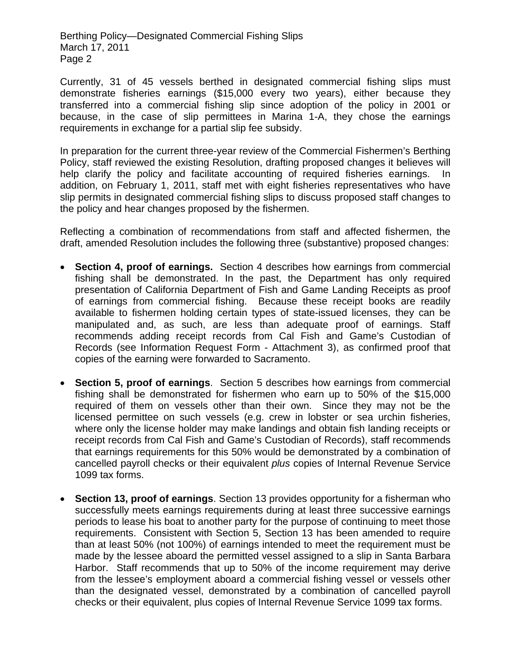Berthing Policy—Designated Commercial Fishing Slips March 17, 2011 Page 2

Currently, 31 of 45 vessels berthed in designated commercial fishing slips must demonstrate fisheries earnings (\$15,000 every two years), either because they transferred into a commercial fishing slip since adoption of the policy in 2001 or because, in the case of slip permittees in Marina 1-A, they chose the earnings requirements in exchange for a partial slip fee subsidy.

In preparation for the current three-year review of the Commercial Fishermen's Berthing Policy, staff reviewed the existing Resolution, drafting proposed changes it believes will help clarify the policy and facilitate accounting of required fisheries earnings. In addition, on February 1, 2011, staff met with eight fisheries representatives who have slip permits in designated commercial fishing slips to discuss proposed staff changes to the policy and hear changes proposed by the fishermen.

Reflecting a combination of recommendations from staff and affected fishermen, the draft, amended Resolution includes the following three (substantive) proposed changes:

- **Section 4, proof of earnings.** Section 4 describes how earnings from commercial fishing shall be demonstrated. In the past, the Department has only required presentation of California Department of Fish and Game Landing Receipts as proof of earnings from commercial fishing. Because these receipt books are readily available to fishermen holding certain types of state-issued licenses, they can be manipulated and, as such, are less than adequate proof of earnings. Staff recommends adding receipt records from Cal Fish and Game's Custodian of Records (see Information Request Form - Attachment 3), as confirmed proof that copies of the earning were forwarded to Sacramento.
- **Section 5, proof of earnings**. Section 5 describes how earnings from commercial fishing shall be demonstrated for fishermen who earn up to 50% of the \$15,000 required of them on vessels other than their own. Since they may not be the licensed permittee on such vessels (e.g. crew in lobster or sea urchin fisheries, where only the license holder may make landings and obtain fish landing receipts or receipt records from Cal Fish and Game's Custodian of Records), staff recommends that earnings requirements for this 50% would be demonstrated by a combination of cancelled payroll checks or their equivalent *plus* copies of Internal Revenue Service 1099 tax forms.
- **Section 13, proof of earnings**. Section 13 provides opportunity for a fisherman who successfully meets earnings requirements during at least three successive earnings periods to lease his boat to another party for the purpose of continuing to meet those requirements. Consistent with Section 5, Section 13 has been amended to require than at least 50% (not 100%) of earnings intended to meet the requirement must be made by the lessee aboard the permitted vessel assigned to a slip in Santa Barbara Harbor. Staff recommends that up to 50% of the income requirement may derive from the lessee's employment aboard a commercial fishing vessel or vessels other than the designated vessel, demonstrated by a combination of cancelled payroll checks or their equivalent, plus copies of Internal Revenue Service 1099 tax forms.